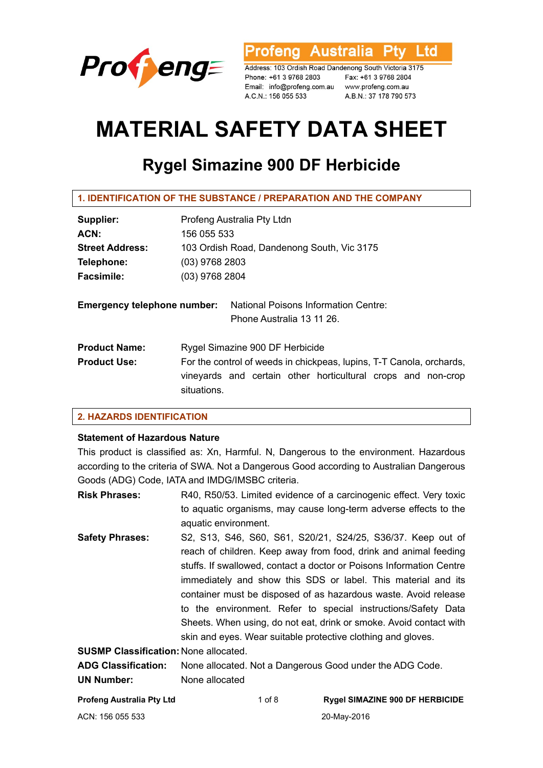

**Australia** l td rofena

Address: 103 Ordish Road Dandenong South Victoria 3175 Phone: +61 3 9768 2803 Email: info@profeng.com.au A.C.N.: 156 055 533

Fax: +61 3 9768 2804 www.profeng.com.au A.B.N.: 37 178 790 573

# **MATERIAL SAFETY DATA SHEET**

# **Rygel Simazine 900 DF Herbicide**

| <b>1. IDENTIFICATION OF THE SUBSTANCE / PREPARATION AND THE COMPANY</b> |                                                                                                                                                     |  |
|-------------------------------------------------------------------------|-----------------------------------------------------------------------------------------------------------------------------------------------------|--|
| Supplier:                                                               | Profeng Australia Pty Ltdn                                                                                                                          |  |
| ACN:                                                                    | 156 055 533                                                                                                                                         |  |
| <b>Street Address:</b>                                                  | 103 Ordish Road, Dandenong South, Vic 3175                                                                                                          |  |
| Telephone:                                                              | $(03)$ 9768 2803                                                                                                                                    |  |
| <b>Facsimile:</b>                                                       | $(03)$ 9768 2804                                                                                                                                    |  |
| <b>Emergency telephone number:</b>                                      | <b>National Poisons Information Centre:</b><br>Phone Australia 13 11 26.                                                                            |  |
| <b>Product Name:</b>                                                    | Rygel Simazine 900 DF Herbicide                                                                                                                     |  |
| <b>Product Use:</b>                                                     | For the control of weeds in chickpeas, lupins, T-T Canola, orchards,<br>vineyards and certain other horticultural crops and non-crop<br>situations. |  |

# **2. HAZARDS IDENTIFICATION**

# **Statement of Hazardous Nature**

This product is classified as: Xn, Harmful. N, Dangerous to the environment. Hazardous according to the criteria of SWA. Not a Dangerous Good according to Australian Dangerous Goods (ADG) Code, IATA and IMDG/IMSBC criteria.

**Risk Phrases:** R40, R50/53. Limited evidence of a carcinogenic effect. Very toxic to aquatic organisms, may cause long-term adverse effects to the aquatic environment.

**Safety Phrases:** S2, S13, S46, S60, S61, S20/21, S24/25, S36/37. Keep out of reach of children. Keep away from food, drink and animal feeding stuffs. If swallowed, contact a doctor or Poisons Information Centre immediately and show this SDS or label. This material and its container must be disposed of as hazardous waste. Avoid release to the environment. Refer to special instructions/Safety Data Sheets. When using, do not eat, drink or smoke. Avoid contact with skin and eyes. Wear suitable protective clothing and gloves.

**SUSMP Classification:** None allocated.

| <b>ADG Classification:</b> | None allocated. Not a Dangerous Good under the ADG Code. |
|----------------------------|----------------------------------------------------------|
| <b>UN Number:</b>          | None allocated                                           |

| Profeng Australia Pty Ltd | 1 of 8 | <b>Rygel SIMAZINE 900 DF HERBICIDE</b> |
|---------------------------|--------|----------------------------------------|
| ACN: 156 055 533          |        | 20-May-2016                            |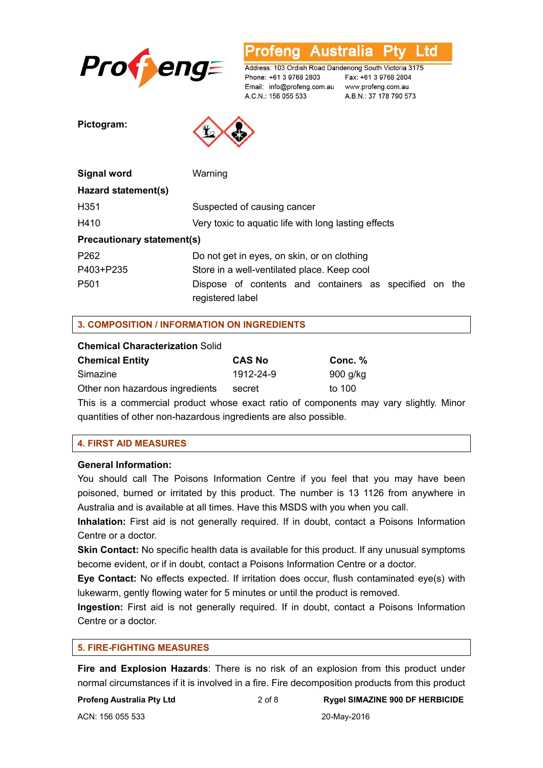

**Australia** L td ofena

Address: 103 Ordish Road Dandenong South Victoria 3175 Phone: +61 3 9768 2803 Email: info@profeng.com.au www.profeng.com.au A.C.N.: 156 055 533

Fax: +61 3 9768 2804 A.B.N.: 37 178 790 573

**Pictogram:** 



| Signal word                       | Warning                                                                    |  |
|-----------------------------------|----------------------------------------------------------------------------|--|
| Hazard statement(s)               |                                                                            |  |
| H <sub>351</sub>                  | Suspected of causing cancer                                                |  |
| H410                              | Very toxic to aquatic life with long lasting effects                       |  |
| <b>Precautionary statement(s)</b> |                                                                            |  |
| P <sub>262</sub>                  | Do not get in eyes, on skin, or on clothing                                |  |
| P403+P235                         | Store in a well-ventilated place. Keep cool                                |  |
| P <sub>501</sub>                  | Dispose of contents and containers as specified on the<br>registered label |  |

# **3. COMPOSITION / INFORMATION ON INGREDIENTS**

#### **Chemical Characterization** Solid

| <b>Chemical Entity</b>          | <b>CAS No</b> | Conc. %  |
|---------------------------------|---------------|----------|
| Simazine                        | 1912-24-9     | 900 g/kg |
| Other non hazardous ingredients | secret        | to 100   |
|                                 |               |          |

This is a commercial product whose exact ratio of components may vary slightly. Minor quantities of other non-hazardous ingredients are also possible.

#### **4. FIRST AID MEASURES**

#### **General Information:**

You should call The Poisons Information Centre if you feel that you may have been poisoned, burned or irritated by this product. The number is 13 1126 from anywhere in Australia and is available at all times. Have this MSDS with you when you call.

**Inhalation:** First aid is not generally required. If in doubt, contact a Poisons Information Centre or a doctor.

**Skin Contact:** No specific health data is available for this product. If any unusual symptoms become evident, or if in doubt, contact a Poisons Information Centre or a doctor.

**Eye Contact:** No effects expected. If irritation does occur, flush contaminated eye(s) with lukewarm, gently flowing water for 5 minutes or until the product is removed.

**Ingestion:** First aid is not generally required. If in doubt, contact a Poisons Information Centre or a doctor.

#### **5. FIRE-FIGHTING MEASURES**

**Fire and Explosion Hazards**: There is no risk of an explosion from this product under normal circumstances if it is involved in a fire. Fire decomposition products from this product

#### **Profeng Australia Pty Ltd** 2 of 8 **Rygel SIMAZINE 900 DF HERBICIDE**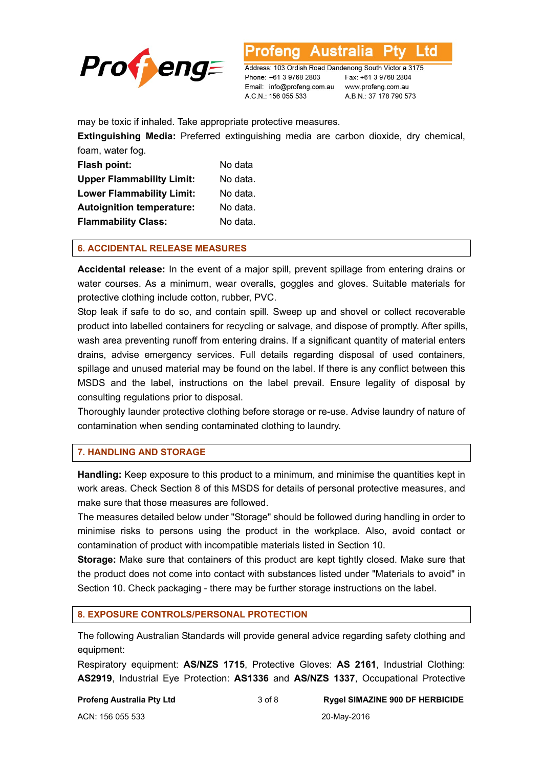

L td

Address: 103 Ordish Road Dandenong South Victoria 3175 Phone: +61 3 9768 2803 Email: info@profeng.com.au www.profeng.com.au A.C.N.: 156 055 533

Fax: +61 3 9768 2804 A.B.N.: 37 178 790 573

may be toxic if inhaled. Take appropriate protective measures.

**Extinguishing Media:** Preferred extinguishing media are carbon dioxide, dry chemical, foam, water fog.

| <b>Flash point:</b>              | No data  |
|----------------------------------|----------|
| <b>Upper Flammability Limit:</b> | No data. |
| <b>Lower Flammability Limit:</b> | No data. |
| <b>Autoignition temperature:</b> | No data. |
| <b>Flammability Class:</b>       | No data. |

#### **6. ACCIDENTAL RELEASE MEASURES**

**Accidental release:** In the event of a major spill, prevent spillage from entering drains or water courses. As a minimum, wear overalls, goggles and gloves. Suitable materials for protective clothing include cotton, rubber, PVC.

Stop leak if safe to do so, and contain spill. Sweep up and shovel or collect recoverable product into labelled containers for recycling or salvage, and dispose of promptly. After spills, wash area preventing runoff from entering drains. If a significant quantity of material enters drains, advise emergency services. Full details regarding disposal of used containers, spillage and unused material may be found on the label. If there is any conflict between this MSDS and the label, instructions on the label prevail. Ensure legality of disposal by consulting regulations prior to disposal.

Thoroughly launder protective clothing before storage or re-use. Advise laundry of nature of contamination when sending contaminated clothing to laundry.

#### **7. HANDLING AND STORAGE**

**Handling:** Keep exposure to this product to a minimum, and minimise the quantities kept in work areas. Check Section 8 of this MSDS for details of personal protective measures, and make sure that those measures are followed.

The measures detailed below under "Storage" should be followed during handling in order to minimise risks to persons using the product in the workplace. Also, avoid contact or contamination of product with incompatible materials listed in Section 10.

**Storage:** Make sure that containers of this product are kept tightly closed. Make sure that the product does not come into contact with substances listed under "Materials to avoid" in Section 10. Check packaging - there may be further storage instructions on the label.

#### **8. EXPOSURE CONTROLS/PERSONAL PROTECTION**

The following Australian Standards will provide general advice regarding safety clothing and equipment:

Respiratory equipment: **AS/NZS 1715**, Protective Gloves: **AS 2161**, Industrial Clothing: **AS2919**, Industrial Eye Protection: **AS1336** and **AS/NZS 1337**, Occupational Protective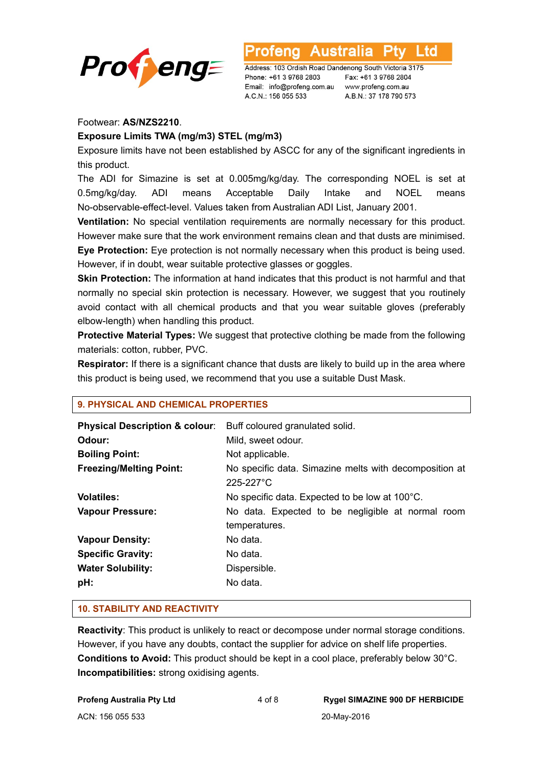

L td **Australia** 

Address: 103 Ordish Road Dandenong South Victoria 3175 Phone: +61 3 9768 2803 Email: info@profeng.com.au www.profeng.com.au A.C.N.: 156 055 533

Fax: +61 3 9768 2804 A.B.N.: 37 178 790 573

# Footwear: **AS/NZS2210**.

#### **Exposure Limits TWA (mg/m3) STEL (mg/m3)**

Exposure limits have not been established by ASCC for any of the significant ingredients in this product.

The ADI for Simazine is set at 0.005mg/kg/day. The corresponding NOEL is set at 0.5mg/kg/day. ADI means Acceptable Daily Intake and NOEL means No-observable-effect-level. Values taken from Australian ADI List, January 2001.

**Ventilation:** No special ventilation requirements are normally necessary for this product. However make sure that the work environment remains clean and that dusts are minimised.

**Eye Protection:** Eye protection is not normally necessary when this product is being used. However, if in doubt, wear suitable protective glasses or goggles.

**Skin Protection:** The information at hand indicates that this product is not harmful and that normally no special skin protection is necessary. However, we suggest that you routinely avoid contact with all chemical products and that you wear suitable gloves (preferably elbow-length) when handling this product.

**Protective Material Types:** We suggest that protective clothing be made from the following materials: cotton, rubber, PVC.

**Respirator:** If there is a significant chance that dusts are likely to build up in the area where this product is being used, we recommend that you use a suitable Dust Mask.

| <b>Physical Description &amp; colour:</b><br>Odour:<br><b>Boiling Point:</b><br><b>Freezing/Melting Point:</b> | Buff coloured granulated solid.<br>Mild, sweet odour.<br>Not applicable.<br>No specific data. Simazine melts with decomposition at<br>225-227°C |
|----------------------------------------------------------------------------------------------------------------|-------------------------------------------------------------------------------------------------------------------------------------------------|
| <b>Volatiles:</b><br><b>Vapour Pressure:</b>                                                                   | No specific data. Expected to be low at 100°C.<br>No data. Expected to be negligible at normal room<br>temperatures.                            |
| <b>Vapour Density:</b>                                                                                         | No data.                                                                                                                                        |
| <b>Specific Gravity:</b><br><b>Water Solubility:</b><br>pH:                                                    | No data.<br>Dispersible.<br>No data.                                                                                                            |
|                                                                                                                |                                                                                                                                                 |

# **9. PHYSICAL AND CHEMICAL PROPERTIES**

#### **10. STABILITY AND REACTIVITY**

**Reactivity**: This product is unlikely to react or decompose under normal storage conditions. However, if you have any doubts, contact the supplier for advice on shelf life properties. **Conditions to Avoid:** This product should be kept in a cool place, preferably below 30°C. **Incompatibilities:** strong oxidising agents.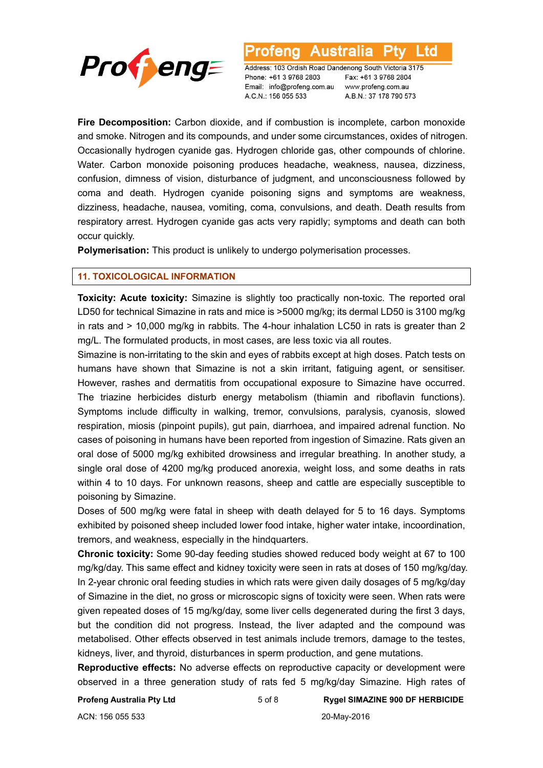

Australia l td otena

Address: 103 Ordish Road Dandenong South Victoria 3175 Phone: +61 3 9768 2803 Email: info@profeng.com.au A.C.N.: 156 055 533

Fax: +61 3 9768 2804 www.profeng.com.au A.B.N.: 37 178 790 573

**Fire Decomposition:** Carbon dioxide, and if combustion is incomplete, carbon monoxide and smoke. Nitrogen and its compounds, and under some circumstances, oxides of nitrogen. Occasionally hydrogen cyanide gas. Hydrogen chloride gas, other compounds of chlorine. Water. Carbon monoxide poisoning produces headache, weakness, nausea, dizziness, confusion, dimness of vision, disturbance of judgment, and unconsciousness followed by coma and death. Hydrogen cyanide poisoning signs and symptoms are weakness, dizziness, headache, nausea, vomiting, coma, convulsions, and death. Death results from respiratory arrest. Hydrogen cyanide gas acts very rapidly; symptoms and death can both occur quickly.

**Polymerisation:** This product is unlikely to undergo polymerisation processes.

#### **11. TOXICOLOGICAL INFORMATION**

**Toxicity: Acute toxicity:** Simazine is slightly too practically non-toxic. The reported oral LD50 for technical Simazine in rats and mice is >5000 mg/kg; its dermal LD50 is 3100 mg/kg in rats and > 10,000 mg/kg in rabbits. The 4-hour inhalation LC50 in rats is greater than 2 mg/L. The formulated products, in most cases, are less toxic via all routes.

Simazine is non-irritating to the skin and eyes of rabbits except at high doses. Patch tests on humans have shown that Simazine is not a skin irritant, fatiguing agent, or sensitiser. However, rashes and dermatitis from occupational exposure to Simazine have occurred. The triazine herbicides disturb energy metabolism (thiamin and riboflavin functions). Symptoms include difficulty in walking, tremor, convulsions, paralysis, cyanosis, slowed respiration, miosis (pinpoint pupils), gut pain, diarrhoea, and impaired adrenal function. No cases of poisoning in humans have been reported from ingestion of Simazine. Rats given an oral dose of 5000 mg/kg exhibited drowsiness and irregular breathing. In another study, a single oral dose of 4200 mg/kg produced anorexia, weight loss, and some deaths in rats within 4 to 10 days. For unknown reasons, sheep and cattle are especially susceptible to poisoning by Simazine.

Doses of 500 mg/kg were fatal in sheep with death delayed for 5 to 16 days. Symptoms exhibited by poisoned sheep included lower food intake, higher water intake, incoordination, tremors, and weakness, especially in the hindquarters.

**Chronic toxicity:** Some 90-day feeding studies showed reduced body weight at 67 to 100 mg/kg/day. This same effect and kidney toxicity were seen in rats at doses of 150 mg/kg/day. In 2-year chronic oral feeding studies in which rats were given daily dosages of 5 mg/kg/day of Simazine in the diet, no gross or microscopic signs of toxicity were seen. When rats were given repeated doses of 15 mg/kg/day, some liver cells degenerated during the first 3 days, but the condition did not progress. Instead, the liver adapted and the compound was metabolised. Other effects observed in test animals include tremors, damage to the testes, kidneys, liver, and thyroid, disturbances in sperm production, and gene mutations.

**Reproductive effects:** No adverse effects on reproductive capacity or development were observed in a three generation study of rats fed 5 mg/kg/day Simazine. High rates of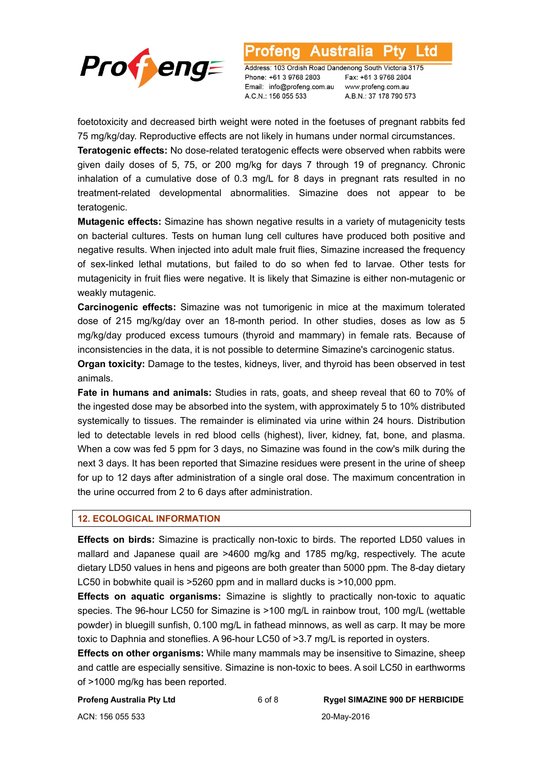

Address: 103 Ordish Road Dandenong South Victoria 3175 Phone: +61 3 9768 2803 Email: info@profeng.com.au A.C.N.: 156 055 533

Australia

Fax: +61 3 9768 2804 www.profeng.com.au A.B.N.: 37 178 790 573

l td

foetotoxicity and decreased birth weight were noted in the foetuses of pregnant rabbits fed 75 mg/kg/day. Reproductive effects are not likely in humans under normal circumstances.

otena

**Teratogenic effects:** No dose-related teratogenic effects were observed when rabbits were given daily doses of 5, 75, or 200 mg/kg for days 7 through 19 of pregnancy. Chronic inhalation of a cumulative dose of 0.3 mg/L for 8 days in pregnant rats resulted in no treatment-related developmental abnormalities. Simazine does not appear to be teratogenic.

**Mutagenic effects:** Simazine has shown negative results in a variety of mutagenicity tests on bacterial cultures. Tests on human lung cell cultures have produced both positive and negative results. When injected into adult male fruit flies, Simazine increased the frequency of sex-linked lethal mutations, but failed to do so when fed to larvae. Other tests for mutagenicity in fruit flies were negative. It is likely that Simazine is either non-mutagenic or weakly mutagenic.

**Carcinogenic effects:** Simazine was not tumorigenic in mice at the maximum tolerated dose of 215 mg/kg/day over an 18-month period. In other studies, doses as low as 5 mg/kg/day produced excess tumours (thyroid and mammary) in female rats. Because of inconsistencies in the data, it is not possible to determine Simazine's carcinogenic status.

**Organ toxicity:** Damage to the testes, kidneys, liver, and thyroid has been observed in test animals.

**Fate in humans and animals:** Studies in rats, goats, and sheep reveal that 60 to 70% of the ingested dose may be absorbed into the system, with approximately 5 to 10% distributed systemically to tissues. The remainder is eliminated via urine within 24 hours. Distribution led to detectable levels in red blood cells (highest), liver, kidney, fat, bone, and plasma. When a cow was fed 5 ppm for 3 days, no Simazine was found in the cow's milk during the next 3 days. It has been reported that Simazine residues were present in the urine of sheep for up to 12 days after administration of a single oral dose. The maximum concentration in the urine occurred from 2 to 6 days after administration.

#### **12. ECOLOGICAL INFORMATION**

**Effects on birds:** Simazine is practically non-toxic to birds. The reported LD50 values in mallard and Japanese quail are >4600 mg/kg and 1785 mg/kg, respectively. The acute dietary LD50 values in hens and pigeons are both greater than 5000 ppm. The 8-day dietary LC50 in bobwhite quail is >5260 ppm and in mallard ducks is >10,000 ppm.

**Effects on aquatic organisms:** Simazine is slightly to practically non-toxic to aquatic species. The 96-hour LC50 for Simazine is >100 mg/L in rainbow trout, 100 mg/L (wettable powder) in bluegill sunfish, 0.100 mg/L in fathead minnows, as well as carp. It may be more toxic to Daphnia and stoneflies. A 96-hour LC50 of >3.7 mg/L is reported in oysters.

**Effects on other organisms:** While many mammals may be insensitive to Simazine, sheep and cattle are especially sensitive. Simazine is non-toxic to bees. A soil LC50 in earthworms of >1000 mg/kg has been reported.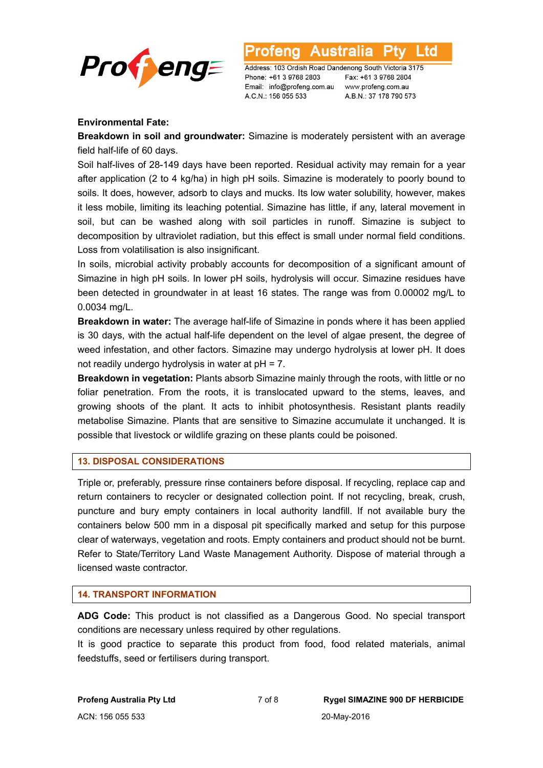

Australia Address: 103 Ordish Road Dandenong South Victoria 3175

Phone: +61 3 9768 2803 Email: info@profeng.com.au www.profeng.com.au A.C.N.: 156 055 533

Fax: +61 3 9768 2804 A.B.N.: 37 178 790 573

L td

# **Environmental Fate:**

**Breakdown in soil and groundwater:** Simazine is moderately persistent with an average field half-life of 60 days.

Soil half-lives of 28-149 days have been reported. Residual activity may remain for a year after application (2 to 4 kg/ha) in high pH soils. Simazine is moderately to poorly bound to soils. It does, however, adsorb to clays and mucks. Its low water solubility, however, makes it less mobile, limiting its leaching potential. Simazine has little, if any, lateral movement in soil, but can be washed along with soil particles in runoff. Simazine is subject to decomposition by ultraviolet radiation, but this effect is small under normal field conditions. Loss from volatilisation is also insignificant.

In soils, microbial activity probably accounts for decomposition of a significant amount of Simazine in high pH soils. In lower pH soils, hydrolysis will occur. Simazine residues have been detected in groundwater in at least 16 states. The range was from 0.00002 mg/L to 0.0034 mg/L.

**Breakdown in water:** The average half-life of Simazine in ponds where it has been applied is 30 days, with the actual half-life dependent on the level of algae present, the degree of weed infestation, and other factors. Simazine may undergo hydrolysis at lower pH. It does not readily undergo hydrolysis in water at pH = 7.

**Breakdown in vegetation:** Plants absorb Simazine mainly through the roots, with little or no foliar penetration. From the roots, it is translocated upward to the stems, leaves, and growing shoots of the plant. It acts to inhibit photosynthesis. Resistant plants readily metabolise Simazine. Plants that are sensitive to Simazine accumulate it unchanged. It is possible that livestock or wildlife grazing on these plants could be poisoned.

# **13. DISPOSAL CONSIDERATIONS**

Triple or, preferably, pressure rinse containers before disposal. If recycling, replace cap and return containers to recycler or designated collection point. If not recycling, break, crush, puncture and bury empty containers in local authority landfill. If not available bury the containers below 500 mm in a disposal pit specifically marked and setup for this purpose clear of waterways, vegetation and roots. Empty containers and product should not be burnt. Refer to State/Territory Land Waste Management Authority. Dispose of material through a licensed waste contractor.

# **14. TRANSPORT INFORMATION**

**ADG Code:** This product is not classified as a Dangerous Good. No special transport conditions are necessary unless required by other regulations.

It is good practice to separate this product from food, food related materials, animal feedstuffs, seed or fertilisers during transport.